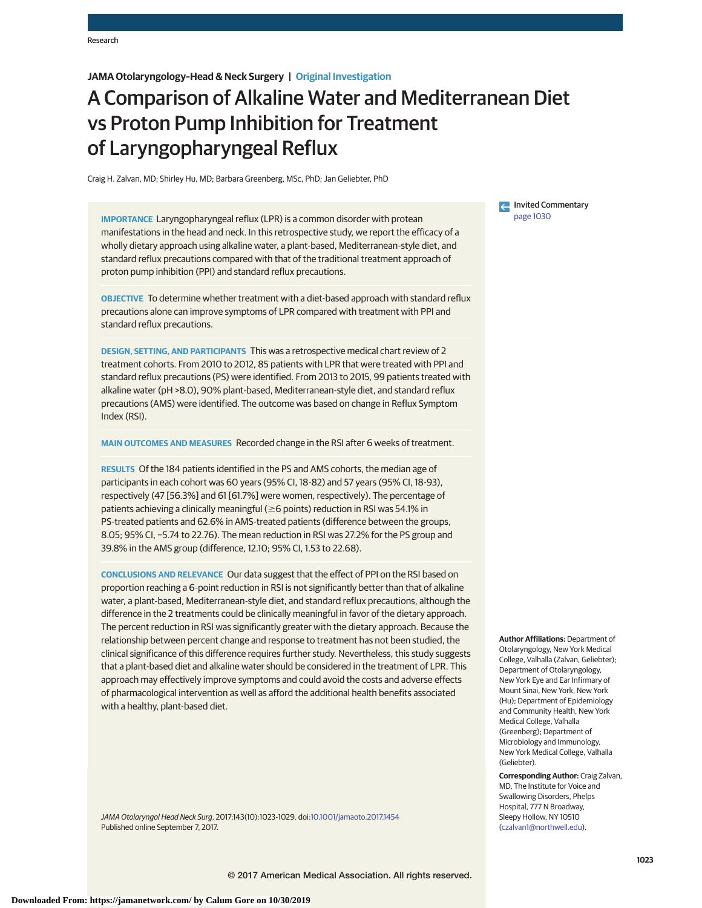# **JAMA Otolaryngology–Head & Neck Surgery | Original Investigation**

# A Comparison of Alkaline Water and Mediterranean Diet vs Proton Pump Inhibition for Treatment of Laryngopharyngeal Reflux

Craig H. Zalvan, MD; Shirley Hu, MD; Barbara Greenberg, MSc, PhD; Jan Geliebter, PhD

**IMPORTANCE** Laryngopharyngeal reflux (LPR) is a common disorder with protean manifestations in the head and neck. In this retrospective study, we report the efficacy of a wholly dietary approach using alkaline water, a plant-based, Mediterranean-style diet, and standard reflux precautions compared with that of the traditional treatment approach of proton pump inhibition (PPI) and standard reflux precautions.

**OBJECTIVE** To determine whether treatment with a diet-based approach with standard reflux precautions alone can improve symptoms of LPR compared with treatment with PPI and standard reflux precautions.

**DESIGN, SETTING, AND PARTICIPANTS** This was a retrospective medical chart review of 2 treatment cohorts. From 2010 to 2012, 85 patients with LPR that were treated with PPI and standard reflux precautions (PS) were identified. From 2013 to 2015, 99 patients treated with alkaline water (pH >8.0), 90% plant-based, Mediterranean-style diet, and standard reflux precautions (AMS) were identified. The outcome was based on change in Reflux Symptom Index (RSI).

**MAIN OUTCOMES AND MEASURES** Recorded change in the RSI after 6 weeks of treatment.

**RESULTS** Of the 184 patients identified in the PS and AMS cohorts, the median age of participants in each cohort was 60 years (95% CI, 18-82) and 57 years (95% CI, 18-93), respectively (47 [56.3%] and 61 [61.7%] were women, respectively). The percentage of patients achieving a clinically meaningful ( $\geq$ 6 points) reduction in RSI was 54.1% in PS-treated patients and 62.6% in AMS-treated patients (difference between the groups, 8.05; 95% CI, −5.74 to 22.76). The mean reduction in RSI was 27.2% for the PS group and 39.8% in the AMS group (difference, 12.10; 95% CI, 1.53 to 22.68).

**CONCLUSIONS AND RELEVANCE** Our data suggest that the effect of PPI on the RSI based on proportion reaching a 6-point reduction in RSI is not significantly better than that of alkaline water, a plant-based, Mediterranean-style diet, and standard reflux precautions, although the difference in the 2 treatments could be clinically meaningful in favor of the dietary approach. The percent reduction in RSI was significantly greater with the dietary approach. Because the relationship between percent change and response to treatment has not been studied, the clinical significance of this difference requires further study. Nevertheless, this study suggests that a plant-based diet and alkaline water should be considered in the treatment of LPR. This approach may effectively improve symptoms and could avoid the costs and adverse effects of pharmacological intervention as well as afford the additional health benefits associated with a healthy, plant-based diet.

JAMA Otolaryngol Head Neck Surg. 2017;143(10):1023-1029. doi[:10.1001/jamaoto.2017.1454](http://jama.jamanetwork.com/article.aspx?doi=10.1001/jamaoto.2017.1454&utm_campaign=articlePDF%26utm_medium=articlePDFlink%26utm_source=articlePDF%26utm_content=jamaoto.2017.1454) Published online September 7, 2017.

← Invited Commentary [page 1030](http://jama.jamanetwork.com/article.aspx?doi=10.1001/jamaoto.2017.1449&utm_campaign=articlePDF%26utm_medium=articlePDFlink%26utm_source=articlePDF%26utm_content=jamaoto.2017.1454)

**Author Affiliations:** Department of Otolaryngology, New York Medical College, Valhalla (Zalvan, Geliebter); Department of Otolaryngology, New York Eye and Ear Infirmary of Mount Sinai, New York, New York (Hu); Department of Epidemiology and Community Health, New York Medical College, Valhalla (Greenberg); Department of Microbiology and Immunology, New York Medical College, Valhalla (Geliebter).

**Corresponding Author:** Craig Zalvan, MD, The Institute for Voice and Swallowing Disorders, Phelps Hospital, 777 N Broadway, Sleepy Hollow, NY 10510 [\(czalvan1@northwell.edu\)](mailto:czalvan1@northwell.edu).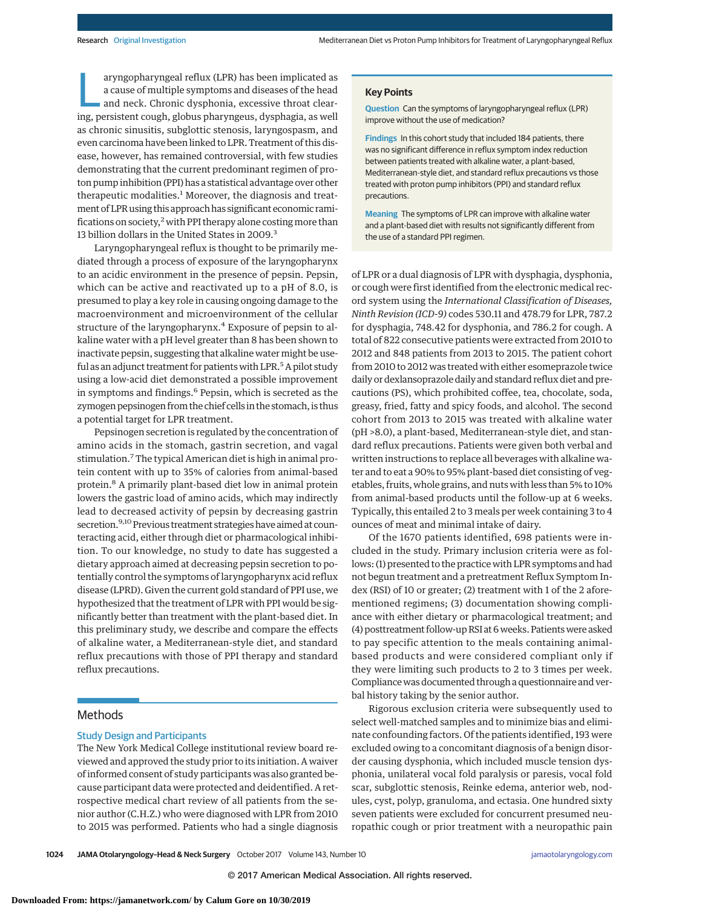aryngopharyngeal reflux (LPR) has been implicated as<br>a cause of multiple symptoms and diseases of the head<br>and neck. Chronic dysphonia, excessive throat clear-<br>ing persistent cough globus pharyngous dysphonia, as well a cause of multiple symptoms and diseases of the head ing, persistent cough, globus pharyngeus, dysphagia, as well as chronic sinusitis, subglottic stenosis, laryngospasm, and even carcinoma have been linked to LPR. Treatment of this disease, however, has remained controversial, with few studies demonstrating that the current predominant regimen of proton pump inhibition (PPI) has a statistical advantage over other therapeutic modalities.<sup>1</sup> Moreover, the diagnosis and treatment of LPR using this approach has significant economic ramifications on society, $2$  with PPI therapy alone costing more than 13 billion dollars in the United States in 2009.<sup>3</sup>

Laryngopharyngeal reflux is thought to be primarily mediated through a process of exposure of the laryngopharynx to an acidic environment in the presence of pepsin. Pepsin, which can be active and reactivated up to a pH of 8.0, is presumed to play a key role in causing ongoing damage to the macroenvironment and microenvironment of the cellular structure of the laryngopharynx.<sup>4</sup> Exposure of pepsin to alkaline water with a pH level greater than 8 has been shown to inactivate pepsin, suggesting that alkaline water might be useful as an adjunct treatment for patients with LPR.<sup>5</sup> A pilot study using a low-acid diet demonstrated a possible improvement in symptoms and findings.<sup>6</sup> Pepsin, which is secreted as the zymogen pepsinogen from the chief cells in the stomach, is thus a potential target for LPR treatment.

Pepsinogen secretion is regulated by the concentration of amino acids in the stomach, gastrin secretion, and vagal stimulation.<sup>7</sup> The typical American diet is high in animal protein content with up to 35% of calories from animal-based protein.<sup>8</sup> A primarily plant-based diet low in animal protein lowers the gastric load of amino acids, which may indirectly lead to decreased activity of pepsin by decreasing gastrin secretion.<sup>9,10</sup> Previous treatment strategies have aimed at counteracting acid, either through diet or pharmacological inhibition. To our knowledge, no study to date has suggested a dietary approach aimed at decreasing pepsin secretion to potentially control the symptoms of laryngopharynx acid reflux disease (LPRD). Given the current gold standard of PPI use, we hypothesized that the treatment of LPR with PPI would be significantly better than treatment with the plant-based diet. In this preliminary study, we describe and compare the effects of alkaline water, a Mediterranean-style diet, and standard reflux precautions with those of PPI therapy and standard reflux precautions.

## **Methods**

### Study Design and Participants

The New York Medical College institutional review board reviewed and approved the study prior to its initiation. A waiver of informed consent of study participants was also granted because participant data were protected and deidentified. A retrospective medical chart review of all patients from the senior author (C.H.Z.) who were diagnosed with LPR from 2010 to 2015 was performed. Patients who had a single diagnosis

#### **Key Points**

**Question** Can the symptoms of laryngopharyngeal reflux (LPR) improve without the use of medication?

**Findings** In this cohort study that included 184 patients, there was no significant difference in reflux symptom index reduction between patients treated with alkaline water, a plant-based, Mediterranean-style diet, and standard reflux precautions vs those treated with proton pump inhibitors (PPI) and standard reflux precautions.

**Meaning** The symptoms of LPR can improve with alkaline water and a plant-based diet with results not significantly different from the use of a standard PPI regimen.

of LPR or a dual diagnosis of LPR with dysphagia, dysphonia, or cough were first identified from the electronic medical record system using the *International Classification of Diseases, Ninth Revision (ICD-9)* codes 530.11 and 478.79 for LPR, 787.2 for dysphagia, 748.42 for dysphonia, and 786.2 for cough. A total of 822 consecutive patients were extracted from 2010 to 2012 and 848 patients from 2013 to 2015. The patient cohort from 2010 to 2012 was treated with either esomeprazole twice daily or dexlansoprazole daily and standard reflux diet and precautions (PS), which prohibited coffee, tea, chocolate, soda, greasy, fried, fatty and spicy foods, and alcohol. The second cohort from 2013 to 2015 was treated with alkaline water (pH >8.0), a plant-based, Mediterranean-style diet, and standard reflux precautions. Patients were given both verbal and written instructions to replace all beverages with alkaline water and to eat a 90% to 95% plant-based diet consisting of vegetables, fruits, whole grains, and nuts with less than 5% to 10% from animal-based products until the follow-up at 6 weeks. Typically, this entailed 2 to 3 meals per week containing 3 to 4 ounces of meat and minimal intake of dairy.

Of the 1670 patients identified, 698 patients were included in the study. Primary inclusion criteria were as follows: (1) presented to the practice with LPR symptoms and had not begun treatment and a pretreatment Reflux Symptom Index (RSI) of 10 or greater; (2) treatment with 1 of the 2 aforementioned regimens; (3) documentation showing compliance with either dietary or pharmacological treatment; and (4) posttreatment follow-up RSI at 6 weeks. Patients were asked to pay specific attention to the meals containing animalbased products and were considered compliant only if they were limiting such products to 2 to 3 times per week. Compliance was documented through a questionnaire and verbal history taking by the senior author.

Rigorous exclusion criteria were subsequently used to select well-matched samples and to minimize bias and eliminate confounding factors. Of the patients identified, 193 were excluded owing to a concomitant diagnosis of a benign disorder causing dysphonia, which included muscle tension dysphonia, unilateral vocal fold paralysis or paresis, vocal fold scar, subglottic stenosis, Reinke edema, anterior web, nodules, cyst, polyp, granuloma, and ectasia. One hundred sixty seven patients were excluded for concurrent presumed neuropathic cough or prior treatment with a neuropathic pain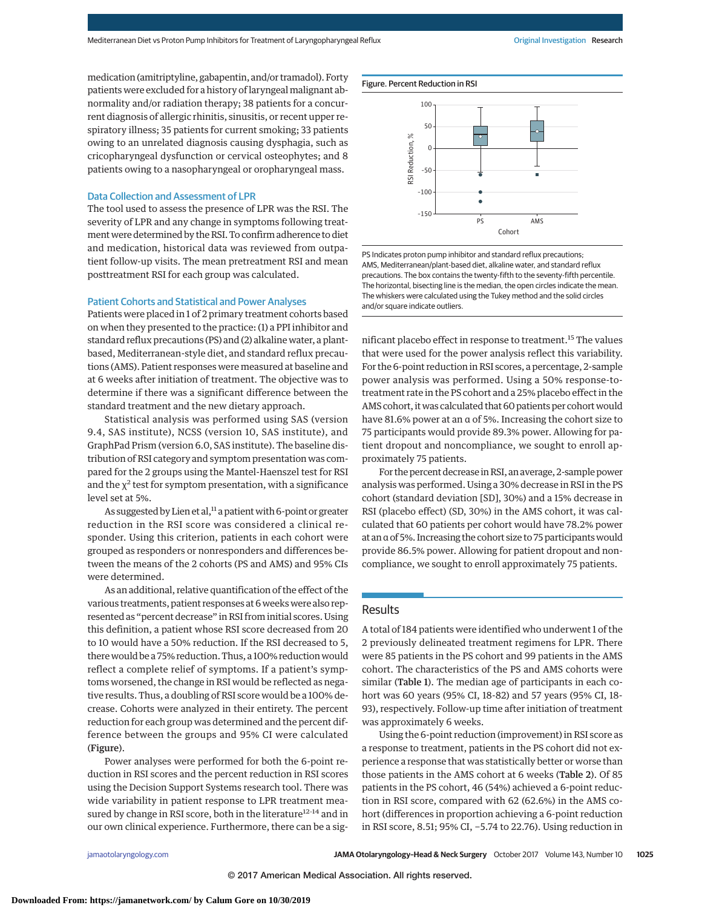medication (amitriptyline, gabapentin, and/or tramadol). Forty patients were excluded for a history of laryngeal malignant abnormality and/or radiation therapy; 38 patients for a concurrent diagnosis of allergic rhinitis, sinusitis, or recent upper respiratory illness; 35 patients for current smoking; 33 patients owing to an unrelated diagnosis causing dysphagia, such as cricopharyngeal dysfunction or cervical osteophytes; and 8 patients owing to a nasopharyngeal or oropharyngeal mass.

#### Data Collection and Assessment of LPR

The tool used to assess the presence of LPR was the RSI. The severity of LPR and any change in symptoms following treatment were determined by the RSI. To confirm adherence to diet and medication, historical data was reviewed from outpatient follow-up visits. The mean pretreatment RSI and mean posttreatment RSI for each group was calculated.

## Patient Cohorts and Statistical and Power Analyses

Patients were placed in 1 of 2 primary treatment cohorts based on when they presented to the practice: (1) a PPI inhibitor and standard reflux precautions (PS) and (2) alkaline water, a plantbased, Mediterranean-style diet, and standard reflux precautions (AMS). Patient responses were measured at baseline and at 6 weeks after initiation of treatment. The objective was to determine if there was a significant difference between the standard treatment and the new dietary approach.

Statistical analysis was performed using SAS (version 9.4, SAS institute), NCSS (version 10, SAS institute), and GraphPad Prism (version 6.0, SAS institute). The baseline distribution of RSI category and symptom presentation was compared for the 2 groups using the Mantel-Haenszel test for RSI and the  $\chi^2$  test for symptom presentation, with a significance level set at 5%.

As suggested by Lien et al,<sup>11</sup> a patient with 6-point or greater reduction in the RSI score was considered a clinical responder. Using this criterion, patients in each cohort were grouped as responders or nonresponders and differences between the means of the 2 cohorts (PS and AMS) and 95% CIs were determined.

As an additional, relative quantification of the effect of the various treatments, patient responses at 6 weeks were also represented as "percent decrease" in RSI from initial scores. Using this definition, a patient whose RSI score decreased from 20 to 10 would have a 50% reduction. If the RSI decreased to 5, there would be a 75% reduction. Thus, a 100% reduction would reflect a complete relief of symptoms. If a patient's symptoms worsened, the change in RSI would be reflected as negative results. Thus, a doubling of RSI score would be a 100% decrease. Cohorts were analyzed in their entirety. The percent reduction for each group was determined and the percent difference between the groups and 95% CI were calculated (Figure).

Power analyses were performed for both the 6-point reduction in RSI scores and the percent reduction in RSI scores using the Decision Support Systems research tool. There was wide variability in patient response to LPR treatment measured by change in RSI score, both in the literature<sup>12-14</sup> and in our own clinical experience. Furthermore, there can be a sig-



PS Indicates proton pump inhibitor and standard reflux precautions; AMS, Mediterranean/plant-based diet, alkaline water, and standard reflux precautions. The box contains the twenty-fifth to the seventy-fifth percentile. The horizontal, bisecting line is the median, the open circles indicate the mean. The whiskers were calculated using the Tukey method and the solid circles and/or square indicate outliers.

nificant placebo effect in response to treatment.<sup>15</sup> The values that were used for the power analysis reflect this variability. For the 6-point reduction in RSI scores, a percentage, 2-sample power analysis was performed. Using a 50% response-totreatment rate in the PS cohort and a 25% placebo effect in the AMS cohort, it was calculated that 60 patients per cohort would have 81.6% power at an α of 5%. Increasing the cohort size to 75 participants would provide 89.3% power. Allowing for patient dropout and noncompliance, we sought to enroll approximately 75 patients.

For the percent decrease inRSI, an average, 2-sample power analysis was performed. Using a 30% decrease in RSI in the PS cohort (standard deviation [SD], 30%) and a 15% decrease in RSI (placebo effect) (SD, 30%) in the AMS cohort, it was calculated that 60 patients per cohort would have 78.2% power at an α of 5%. Increasing the cohort size to 75 participantswould provide 86.5% power. Allowing for patient dropout and noncompliance, we sought to enroll approximately 75 patients.

## **Results**

A total of 184 patients were identified who underwent 1 of the 2 previously delineated treatment regimens for LPR. There were 85 patients in the PS cohort and 99 patients in the AMS cohort. The characteristics of the PS and AMS cohorts were similar (Table 1). The median age of participants in each cohort was 60 years (95% CI, 18-82) and 57 years (95% CI, 18- 93), respectively. Follow-up time after initiation of treatment was approximately 6 weeks.

Using the 6-point reduction (improvement) in RSI score as a response to treatment, patients in the PS cohort did not experience a response that was statistically better or worse than those patients in the AMS cohort at 6 weeks (Table 2). Of 85 patients in the PS cohort, 46 (54%) achieved a 6-point reduction in RSI score, compared with 62 (62.6%) in the AMS cohort (differences in proportion achieving a 6-point reduction in RSI score, 8.51; 95% CI, −5.74 to 22.76). Using reduction in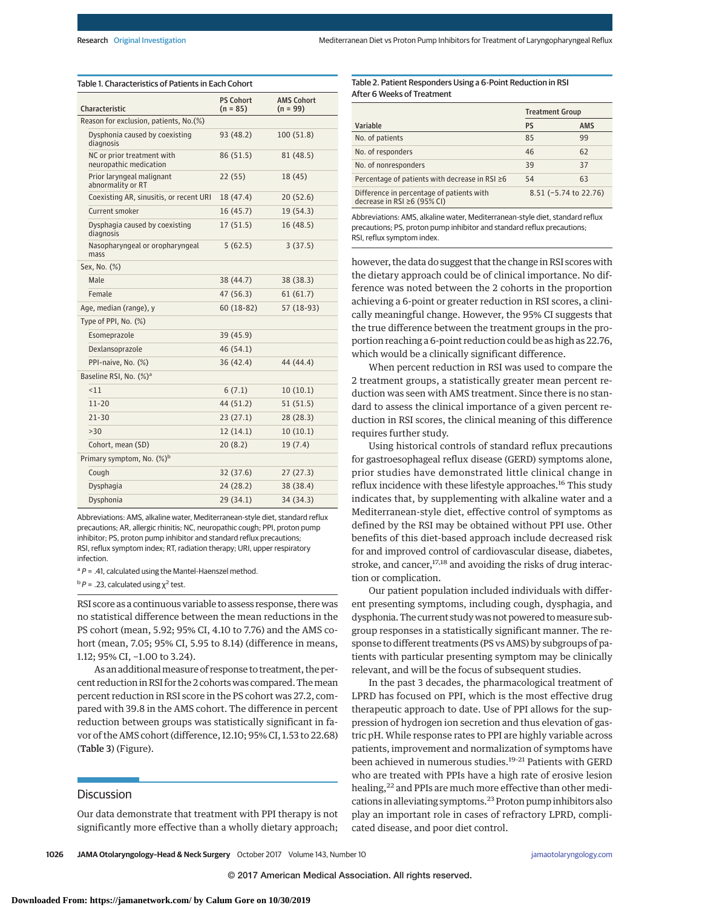Table 1. Characteristics of Patients in Each Cohort

| <b>Characteristic</b>                                | <b>PS Cohort</b><br>$(n = 85)$ | <b>AMS Cohort</b><br>$(n = 99)$ |
|------------------------------------------------------|--------------------------------|---------------------------------|
| Reason for exclusion, patients, No. (%)              |                                |                                 |
| Dysphonia caused by coexisting<br>diagnosis          | 93 (48.2)                      | 100(51.8)                       |
| NC or prior treatment with<br>neuropathic medication | 86 (51.5)                      | 81 (48.5)                       |
| Prior laryngeal malignant<br>abnormality or RT       | 22(55)                         | 18 (45)                         |
| Coexisting AR, sinusitis, or recent URI              | 18 (47.4)                      | 20(52.6)                        |
| Current smoker                                       | 16(45.7)                       | 19 (54.3)                       |
| Dysphagia caused by coexisting<br>diagnosis          | 17(51.5)                       | 16(48.5)                        |
| Nasopharyngeal or oropharyngeal<br>mass              | 5(62.5)                        | 3(37.5)                         |
| Sex, No. (%)                                         |                                |                                 |
| Male                                                 | 38 (44.7)                      | 38 (38.3)                       |
| Female                                               | 47 (56.3)                      | 61(61.7)                        |
| Age, median (range), y                               | $60(18-82)$                    | 57 (18-93)                      |
| Type of PPI, No. (%)                                 |                                |                                 |
| Esomeprazole                                         | 39 (45.9)                      |                                 |
| Dexlansoprazole                                      | 46(54.1)                       |                                 |
| PPI-naive, No. (%)                                   | 36(42.4)                       | 44 (44.4)                       |
| Baseline RSI, No. (%) <sup>a</sup>                   |                                |                                 |
| 11                                                   | 6(7.1)                         | 10(10.1)                        |
| $11 - 20$                                            | 44 (51.2)                      | 51(51.5)                        |
| $21 - 30$                                            | 23(27.1)                       | 28(28.3)                        |
| >30                                                  | 12(14.1)                       | 10(10.1)                        |
| Cohort, mean (SD)                                    | 20(8.2)                        | 19(7.4)                         |
| Primary symptom, No. (%) <sup>b</sup>                |                                |                                 |
| Cough                                                | 32 (37.6)                      | 27(27.3)                        |
| Dysphagia                                            | 24 (28.2)                      | 38 (38.4)                       |
| Dysphonia                                            | 29 (34.1)                      | 34 (34.3)                       |

Abbreviations: AMS, alkaline water, Mediterranean-style diet, standard reflux precautions; AR, allergic rhinitis; NC, neuropathic cough; PPI, proton pump inhibitor; PS, proton pump inhibitor and standard reflux precautions; RSI, reflux symptom index; RT, radiation therapy; URI, upper respiratory infection.

 $a P = .41$ , calculated using the Mantel-Haenszel method.

 $b P = .23$ , calculated using  $\chi^2$  test.

RSI score as a continuous variable to assess response, there was no statistical difference between the mean reductions in the PS cohort (mean, 5.92; 95% CI, 4.10 to 7.76) and the AMS cohort (mean, 7.05; 95% CI, 5.95 to 8.14) (difference in means, 1.12; 95% CI, −1.00 to 3.24).

As an additional measure of response to treatment, the percent reduction in RSI for the 2 cohortswas compared. Themean percent reduction in RSI score in the PS cohort was 27.2, compared with 39.8 in the AMS cohort. The difference in percent reduction between groups was statistically significant in favor of the AMS cohort (difference, 12.10; 95% CI, 1.53 to 22.68) (Table 3) (Figure).

### **Discussion**

Our data demonstrate that treatment with PPI therapy is not significantly more effective than a wholly dietary approach;

#### Table 2. Patient Responders Using a 6-Point Reduction in RSI After 6 Weeks of Treatment

|                                                                          | <b>Treatment Group</b> |                       |
|--------------------------------------------------------------------------|------------------------|-----------------------|
| Variable                                                                 | PS                     | <b>AMS</b>            |
| No. of patients                                                          | 85                     | 99                    |
| No. of responders                                                        | 46                     | 62                    |
| No. of nonresponders                                                     | 39                     | 37                    |
| Percentage of patients with decrease in RSI $\geq 6$                     | 54                     | 63                    |
| Difference in percentage of patients with<br>decrease in RSI ≥6 (95% CI) |                        | 8.51 (-5.74 to 22.76) |

Abbreviations: AMS, alkaline water, Mediterranean-style diet, standard reflux precautions; PS, proton pump inhibitor and standard reflux precautions; RSI, reflux symptom index.

however, the data do suggest that the change in RSI scores with the dietary approach could be of clinical importance. No difference was noted between the 2 cohorts in the proportion achieving a 6-point or greater reduction in RSI scores, a clinically meaningful change. However, the 95% CI suggests that the true difference between the treatment groups in the proportion reaching a 6-point reduction could be as high as 22.76, which would be a clinically significant difference.

When percent reduction in RSI was used to compare the 2 treatment groups, a statistically greater mean percent reduction was seen with AMS treatment. Since there is no standard to assess the clinical importance of a given percent reduction in RSI scores, the clinical meaning of this difference requires further study.

Using historical controls of standard reflux precautions for gastroesophageal reflux disease (GERD) symptoms alone, prior studies have demonstrated little clinical change in reflux incidence with these lifestyle approaches.<sup>16</sup> This study indicates that, by supplementing with alkaline water and a Mediterranean-style diet, effective control of symptoms as defined by the RSI may be obtained without PPI use. Other benefits of this diet-based approach include decreased risk for and improved control of cardiovascular disease, diabetes, stroke, and cancer,<sup>17,18</sup> and avoiding the risks of drug interaction or complication.

Our patient population included individuals with different presenting symptoms, including cough, dysphagia, and dysphonia. The current study was not powered to measure subgroup responses in a statistically significant manner. The response to different treatments (PS vs AMS) by subgroups of patients with particular presenting symptom may be clinically relevant, and will be the focus of subsequent studies.

In the past 3 decades, the pharmacological treatment of LPRD has focused on PPI, which is the most effective drug therapeutic approach to date. Use of PPI allows for the suppression of hydrogen ion secretion and thus elevation of gastric pH. While response rates to PPI are highly variable across patients, improvement and normalization of symptoms have been achieved in numerous studies.<sup>19-21</sup> Patients with GERD who are treated with PPIs have a high rate of erosive lesion healing,<sup>22</sup> and PPIs are much more effective than other medications in alleviating symptoms.<sup>23</sup> Proton pump inhibitors also play an important role in cases of refractory LPRD, complicated disease, and poor diet control.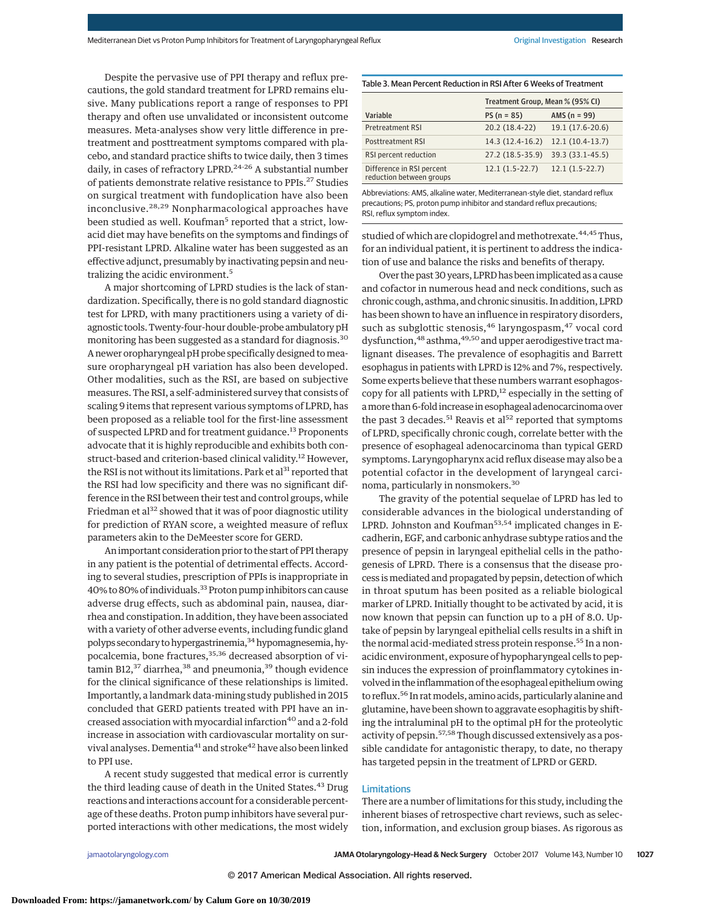Despite the pervasive use of PPI therapy and reflux precautions, the gold standard treatment for LPRD remains elusive. Many publications report a range of responses to PPI therapy and often use unvalidated or inconsistent outcome measures. Meta-analyses show very little difference in pretreatment and posttreatment symptoms compared with placebo, and standard practice shifts to twice daily, then 3 times daily, in cases of refractory LPRD.<sup>24-26</sup> A substantial number of patients demonstrate relative resistance to PPIs.<sup>27</sup> Studies on surgical treatment with fundoplication have also been inconclusive.28,29 Nonpharmacological approaches have been studied as well. Koufman<sup>5</sup> reported that a strict, lowacid diet may have benefits on the symptoms and findings of PPI-resistant LPRD. Alkaline water has been suggested as an effective adjunct, presumably by inactivating pepsin and neutralizing the acidic environment.<sup>5</sup>

A major shortcoming of LPRD studies is the lack of standardization. Specifically, there is no gold standard diagnostic test for LPRD, with many practitioners using a variety of diagnostic tools. Twenty-four-hour double-probe ambulatory pH monitoring has been suggested as a standard for diagnosis.<sup>30</sup> A newer oropharyngeal pH probe specifically designed tomeasure oropharyngeal pH variation has also been developed. Other modalities, such as the RSI, are based on subjective measures. The RSI, a self-administered survey that consists of scaling 9 items that represent various symptoms of LPRD, has been proposed as a reliable tool for the first-line assessment of suspected LPRD and for treatment guidance.<sup>13</sup> Proponents advocate that it is highly reproducible and exhibits both construct-based and criterion-based clinical validity.<sup>12</sup> However, the RSI is not without its limitations. Park et al<sup>31</sup> reported that the RSI had low specificity and there was no significant difference in the RSI between their test and control groups, while Friedman et al<sup>32</sup> showed that it was of poor diagnostic utility for prediction of RYAN score, a weighted measure of reflux parameters akin to the DeMeester score for GERD.

An important consideration prior to the start of PPI therapy in any patient is the potential of detrimental effects. According to several studies, prescription of PPIs is inappropriate in 40% to 80% of individuals.33Proton pump inhibitors can cause adverse drug effects, such as abdominal pain, nausea, diarrhea and constipation. In addition, they have been associated with a variety of other adverse events, including fundic gland polyps secondary to hypergastrinemia,<sup>34</sup> hypomagnesemia, hypocalcemia, bone fractures,<sup>35,36</sup> decreased absorption of vitamin B12,<sup>37</sup> diarrhea,<sup>38</sup> and pneumonia,<sup>39</sup> though evidence for the clinical significance of these relationships is limited. Importantly, a landmark data-mining study published in 2015 concluded that GERD patients treated with PPI have an increased association with myocardial infarction<sup>40</sup> and a 2-fold increase in association with cardiovascular mortality on survival analyses. Dementia<sup>41</sup> and stroke<sup>42</sup> have also been linked to PPI use.

A recent study suggested that medical error is currently the third leading cause of death in the United States.<sup>43</sup> Drug reactions and interactions account for a considerable percentage of these deaths. Proton pump inhibitors have several purported interactions with other medications, the most widely

#### Table 3. Mean Percent Reduction in RSI After 6 Weeks of Treatment

|                                                       | Treatment Group, Mean % (95% CI) |                   |  |
|-------------------------------------------------------|----------------------------------|-------------------|--|
| Variable                                              | $PS(n = 85)$                     | AMS $(n = 99)$    |  |
| <b>Pretreatment RSI</b>                               | 20.2 (18.4-22)                   | 19.1 (17.6-20.6)  |  |
| Posttreatment RSI                                     | $14.3(12.4-16.2)$                | $12.1(10.4-13.7)$ |  |
| RSI percent reduction                                 | 27.2 (18.5-35.9)                 | 39.3 (33.1-45.5)  |  |
| Difference in RSI percent<br>reduction between groups | $12.1(1.5-22.7)$                 | $12.1(1.5-22.7)$  |  |

Abbreviations: AMS, alkaline water, Mediterranean-style diet, standard reflux precautions; PS, proton pump inhibitor and standard reflux precautions; RSI, reflux symptom index.

studied of which are clopidogrel and methotrexate.<sup>44,45</sup>Thus, for an individual patient, it is pertinent to address the indication of use and balance the risks and benefits of therapy.

Over the past 30 years, LPRD has been implicated as a cause and cofactor in numerous head and neck conditions, such as chronic cough, asthma, and chronic sinusitis. In addition, LPRD has been shown to have an influence in respiratory disorders, such as subglottic stenosis, <sup>46</sup> laryngospasm, <sup>47</sup> vocal cord dysfunction, <sup>48</sup> asthma, <sup>49,50</sup> and upper aerodigestive tract malignant diseases. The prevalence of esophagitis and Barrett esophagus in patients with LPRD is 12% and 7%, respectively. Some experts believe that these numbers warrant esophagoscopy for all patients with LPRD,<sup>12</sup> especially in the setting of amore than 6-fold increase in esophageal adenocarcinoma over the past 3 decades.<sup>51</sup> Reavis et al<sup>52</sup> reported that symptoms of LPRD, specifically chronic cough, correlate better with the presence of esophageal adenocarcinoma than typical GERD symptoms. Laryngopharynx acid reflux disease may also be a potential cofactor in the development of laryngeal carcinoma, particularly in nonsmokers.<sup>30</sup>

The gravity of the potential sequelae of LPRD has led to considerable advances in the biological understanding of LPRD. Johnston and Koufman<sup>53,54</sup> implicated changes in Ecadherin, EGF, and carbonic anhydrase subtype ratios and the presence of pepsin in laryngeal epithelial cells in the pathogenesis of LPRD. There is a consensus that the disease process ismediated and propagated by pepsin, detection of which in throat sputum has been posited as a reliable biological marker of LPRD. Initially thought to be activated by acid, it is now known that pepsin can function up to a pH of 8.0. Uptake of pepsin by laryngeal epithelial cells results in a shift in the normal acid-mediated stress protein response.<sup>55</sup> In a nonacidic environment, exposure of hypopharyngeal cells to pepsin induces the expression of proinflammatory cytokines involved in the inflammation of the esophageal epithelium owing to reflux.<sup>56</sup> In rat models, amino acids, particularly alanine and glutamine, have been shown to aggravate esophagitis by shifting the intraluminal pH to the optimal pH for the proteolytic activity of pepsin.<sup>57,58</sup> Though discussed extensively as a possible candidate for antagonistic therapy, to date, no therapy has targeted pepsin in the treatment of LPRD or GERD.

#### Limitations

There are a number of limitations for this study, including the inherent biases of retrospective chart reviews, such as selection, information, and exclusion group biases. As rigorous as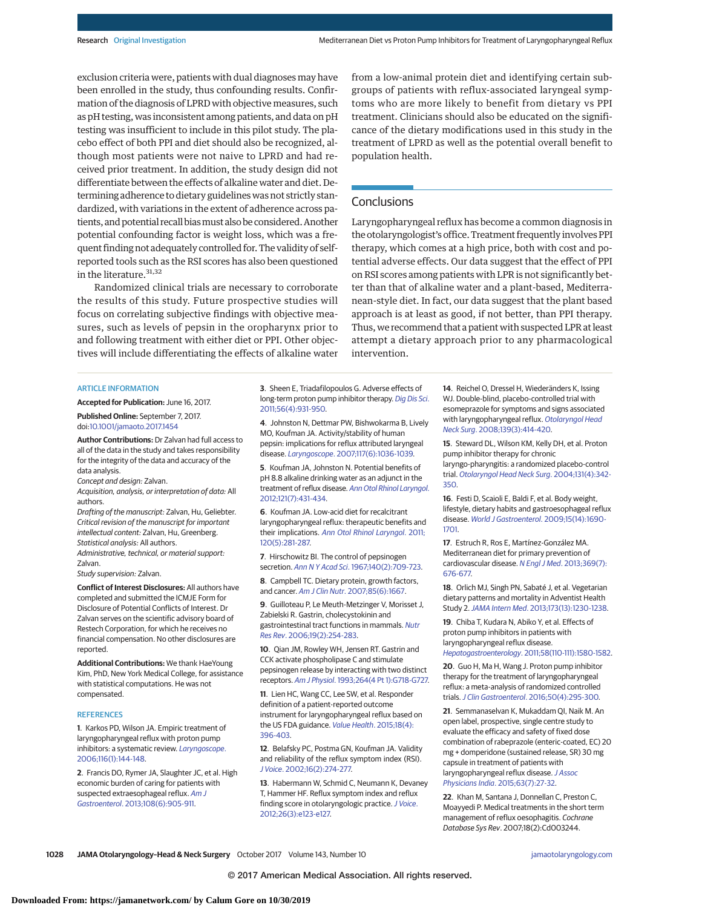exclusion criteria were, patients with dual diagnosesmay have been enrolled in the study, thus confounding results. Confirmation of the diagnosis of LPRD with objective measures, such as pH testing, was inconsistent among patients, and data on pH testing was insufficient to include in this pilot study. The placebo effect of both PPI and diet should also be recognized, although most patients were not naive to LPRD and had received prior treatment. In addition, the study design did not differentiate between the effects of alkaline water and diet. Determining adherence to dietary guidelines was not strictly standardized, with variations in the extent of adherence across patients, and potential recall biasmust also be considered. Another potential confounding factor is weight loss, which was a frequent finding not adequately controlled for. The validity of selfreported tools such as the RSI scores has also been questioned in the literature.<sup>31,32</sup>

Randomized clinical trials are necessary to corroborate the results of this study. Future prospective studies will focus on correlating subjective findings with objective measures, such as levels of pepsin in the oropharynx prior to and following treatment with either diet or PPI. Other objectives will include differentiating the effects of alkaline water from a low-animal protein diet and identifying certain subgroups of patients with reflux-associated laryngeal symptoms who are more likely to benefit from dietary vs PPI treatment. Clinicians should also be educated on the significance of the dietary modifications used in this study in the treatment of LPRD as well as the potential overall benefit to population health.

# **Conclusions**

Laryngopharyngeal reflux has become a common diagnosis in the otolaryngologist's office. Treatment frequently involves PPI therapy, which comes at a high price, both with cost and potential adverse effects. Our data suggest that the effect of PPI on RSI scores among patients with LPR is not significantly better than that of alkaline water and a plant-based, Mediterranean-style diet. In fact, our data suggest that the plant based approach is at least as good, if not better, than PPI therapy. Thus, we recommend that a patient with suspected LPR at least attempt a dietary approach prior to any pharmacological intervention.

#### **ARTICLE INFORMATION**

**Accepted for Publication:** June 16, 2017. **Published Online:** September 7, 2017.

# doi[:10.1001/jamaoto.2017.1454](http://jama.jamanetwork.com/article.aspx?doi=10.1001/jamaoto.2017.1454&utm_campaign=articlePDF%26utm_medium=articlePDFlink%26utm_source=articlePDF%26utm_content=jamaoto.2017.1454)

**Author Contributions:** Dr Zalvan had full access to all of the data in the study and takes responsibility for the integrity of the data and accuracy of the data analysis.

Concept and design: Zalvan.

Acquisition, analysis, or interpretation of data: All authors.

Drafting of the manuscript: Zalvan, Hu, Geliebter. Critical revision of the manuscript for important intellectual content: Zalvan, Hu, Greenberg. Statistical analysis: All authors.

Administrative, technical, or material support: Zalvan.

Study supervision: Zalvan.

**Conflict of Interest Disclosures:** All authors have completed and submitted the ICMJE Form for Disclosure of Potential Conflicts of Interest. Dr Zalvan serves on the scientific advisory board of Restech Corporation, for which he receives no financial compensation. No other disclosures are reported.

**Additional Contributions:** We thank HaeYoung Kim, PhD, New York Medical College, for assistance with statistical computations. He was not compensated.

#### **REFERENCES**

**1**. Karkos PD, Wilson JA. Empiric treatment of laryngopharyngeal reflux with proton pump inhibitors: a systematic review. [Laryngoscope](https://www.ncbi.nlm.nih.gov/pubmed/16481828). [2006;116\(1\):144-148.](https://www.ncbi.nlm.nih.gov/pubmed/16481828)

**2**. Francis DO, Rymer JA, Slaughter JC, et al. High economic burden of caring for patients with suspected extraesophageal reflux. [Am J](https://www.ncbi.nlm.nih.gov/pubmed/23545710) Gastroenterol[. 2013;108\(6\):905-911.](https://www.ncbi.nlm.nih.gov/pubmed/23545710)

**3**. Sheen E, Triadafilopoulos G. Adverse effects of long-term proton pump inhibitor therapy. [Dig Dis Sci](https://www.ncbi.nlm.nih.gov/pubmed/21365243). [2011;56\(4\):931-950.](https://www.ncbi.nlm.nih.gov/pubmed/21365243)

**4**. Johnston N, Dettmar PW, Bishwokarma B, Lively MO, Koufman JA. Activity/stability of human pepsin: implications for reflux attributed laryngeal disease. Laryngoscope[. 2007;117\(6\):1036-1039.](https://www.ncbi.nlm.nih.gov/pubmed/17417109)

**5**. Koufman JA, Johnston N. Potential benefits of pH 8.8 alkaline drinking water as an adjunct in the treatment of reflux disease. [Ann Otol Rhinol Laryngol](https://www.ncbi.nlm.nih.gov/pubmed/22844861). [2012;121\(7\):431-434.](https://www.ncbi.nlm.nih.gov/pubmed/22844861)

**6**. Koufman JA. Low-acid diet for recalcitrant laryngopharyngeal reflux: therapeutic benefits and their implications. [Ann Otol Rhinol Laryngol](https://www.ncbi.nlm.nih.gov/pubmed/21675582). 2011; [120\(5\):281-287.](https://www.ncbi.nlm.nih.gov/pubmed/21675582)

**7**. Hirschowitz BI. The control of pepsinogen secretion. Ann N Y Acad Sci[. 1967;140\(2\):709-723.](https://www.ncbi.nlm.nih.gov/pubmed/4961720)

**8**. Campbell TC. Dietary protein, growth factors, and cancer. Am J Clin Nutr[. 2007;85\(6\):1667.](https://www.ncbi.nlm.nih.gov/pubmed/17556709)

**9**. Guilloteau P, Le Meuth-Metzinger V, Morisset J, Zabielski R. Gastrin, cholecystokinin and gastrointestinal tract functions in mammals. [Nutr](https://www.ncbi.nlm.nih.gov/pubmed/19079889) Res Rev[. 2006;19\(2\):254-283.](https://www.ncbi.nlm.nih.gov/pubmed/19079889)

**10**. Qian JM, Rowley WH, Jensen RT. Gastrin and CCK activate phospholipase C and stimulate pepsinogen release by interacting with two distinct receptors. Am J Physiol[. 1993;264\(4 Pt 1\):G718-G727.](https://www.ncbi.nlm.nih.gov/pubmed/8476056)

**11**. Lien HC, Wang CC, Lee SW, et al. Responder definition of a patient-reported outcome instrument for laryngopharyngeal reflux based on the US FDA guidance. [Value Health](https://www.ncbi.nlm.nih.gov/pubmed/26091593). 2015;18(4): [396-403.](https://www.ncbi.nlm.nih.gov/pubmed/26091593)

**12**. Belafsky PC, Postma GN, Koufman JA. Validity and reliability of the reflux symptom index (RSI). J Voice[. 2002;16\(2\):274-277.](https://www.ncbi.nlm.nih.gov/pubmed/12150380)

**13**. Habermann W, Schmid C, Neumann K, Devaney T, Hammer HF. Reflux symptom index and reflux finding score in otolaryngologic practice. [J Voice](https://www.ncbi.nlm.nih.gov/pubmed/21477986). [2012;26\(3\):e123-e127.](https://www.ncbi.nlm.nih.gov/pubmed/21477986)

**14**. Reichel O, Dressel H, Wiederänders K, Issing WJ. Double-blind, placebo-controlled trial with esomeprazole for symptoms and signs associated with laryngopharyngeal reflux. [Otolaryngol Head](https://www.ncbi.nlm.nih.gov/pubmed/18722223) Neck Surg[. 2008;139\(3\):414-420.](https://www.ncbi.nlm.nih.gov/pubmed/18722223)

**15**. Steward DL, Wilson KM, Kelly DH, et al. Proton pump inhibitor therapy for chronic laryngo-pharyngitis: a randomized placebo-control trial. [Otolaryngol Head Neck Surg](https://www.ncbi.nlm.nih.gov/pubmed/15467597). 2004;131(4):342- [350.](https://www.ncbi.nlm.nih.gov/pubmed/15467597)

**16**. Festi D, Scaioli E, Baldi F, et al. Body weight, lifestyle, dietary habits and gastroesophageal reflux disease. [World J Gastroenterol](https://www.ncbi.nlm.nih.gov/pubmed/19360912). 2009;15(14):1690- [1701.](https://www.ncbi.nlm.nih.gov/pubmed/19360912)

**17**. Estruch R, Ros E, Martínez-González MA. Mediterranean diet for primary prevention of cardiovascular disease. N Engl J Med[. 2013;369\(7\):](https://www.ncbi.nlm.nih.gov/pubmed/23944307) [676-677.](https://www.ncbi.nlm.nih.gov/pubmed/23944307)

**18**. Orlich MJ, Singh PN, Sabaté J, et al. Vegetarian dietary patterns and mortality in Adventist Health Study 2.JAMA Intern Med[. 2013;173\(13\):1230-1238.](https://www.ncbi.nlm.nih.gov/pubmed/23836264)

**19**. Chiba T, Kudara N, Abiko Y, et al. Effects of proton pump inhibitors in patients with laryngopharyngeal reflux disease. Hepatogastroenterology[. 2011;58\(110-111\):1580-1582.](https://www.ncbi.nlm.nih.gov/pubmed/21940324)

**20**. Guo H, Ma H, Wang J. Proton pump inhibitor therapy for the treatment of laryngopharyngeal reflux: a meta-analysis of randomized controlled trials.J Clin Gastroenterol[. 2016;50\(4\):295-300.](https://www.ncbi.nlm.nih.gov/pubmed/25906028)

**21**. Semmanaselvan K, Mukaddam QI, Naik M. An open label, prospective, single centre study to evaluate the efficacy and safety of fixed dose combination of rabeprazole (enteric-coated, EC) 20 mg + domperidone (sustained release, SR) 30 mg capsule in treatment of patients with laryngopharyngeal reflux disease. [J Assoc](https://www.ncbi.nlm.nih.gov/pubmed/26731824) Physicians India[. 2015;63\(7\):27-32.](https://www.ncbi.nlm.nih.gov/pubmed/26731824)

**22**. Khan M, Santana J, Donnellan C, Preston C, Moayyedi P. Medical treatments in the short term management of reflux oesophagitis. Cochrane Database Sys Rev. 2007;18(2):Cd003244.

© 2017 American Medical Association. All rights reserved.